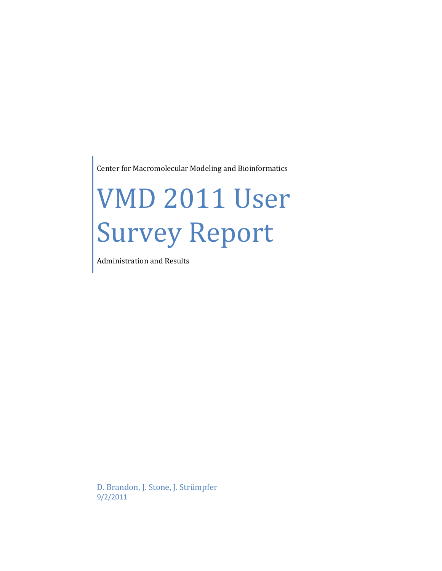Center for Macromolecular Modeling and Bioinformatics

# VMD 2011 User Survey Report

Administration and Results

D. Brandon, J. Stone, J. Strümpfer 9/2/2011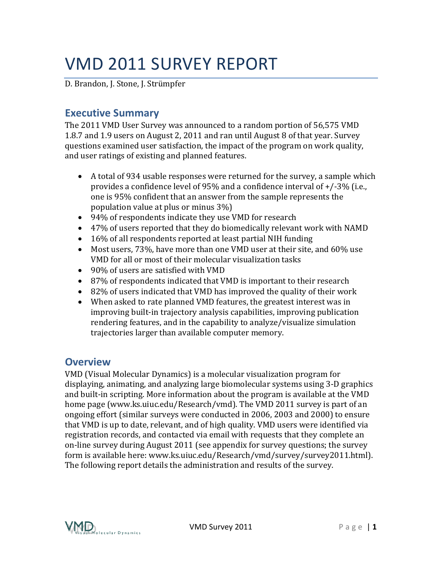# VMD 2011 SURVEY REPORT

<span id="page-1-0"></span>D. Brandon, J. Stone, J. Strümpfer

# **Executive Summary**

The 2011 VMD User Survey was announced to a random portion of 56,575 VMD 1.8.7 and 1.9 users on August 2, 2011 and ran until August 8 of that year. Survey questions examined user satisfaction, the impact of the program on work quality, and user ratings of existing and planned features.

- A total of 934 usable responses were returned for the survey, a sample which provides a confidence level of 95% and a confidence interval of +/-3% (i.e., one is 95% confident that an answer from the sample represents the population value at plus or minus 3%)
- 94% of respondents indicate they use VMD for research
- 47% of users reported that they do biomedically relevant work with NAMD
- 16% of all respondents reported at least partial NIH funding
- Most users, 73%, have more than one VMD user at their site, and 60% use VMD for all or most of their molecular visualization tasks
- 90% of users are satisfied with VMD
- 87% of respondents indicated that VMD is important to their research
- 82% of users indicated that VMD has improved the quality of their work
- When asked to rate planned VMD features, the greatest interest was in improving built-in trajectory analysis capabilities, improving publication rendering features, and in the capability to analyze/visualize simulation trajectories larger than available computer memory.

# <span id="page-1-1"></span>**Overview**

VMD (Visual Molecular Dynamics) is a molecular visualization program for displaying, animating, and analyzing large biomolecular systems using 3-D graphics and built-in scripting. More information about the program is available at the VMD home page (www.ks.uiuc.edu/Research/vmd). The VMD 2011 survey is part of an ongoing effort (similar surveys were conducted in 2006, 2003 and 2000) to ensure that VMD is up to date, relevant, and of high quality. VMD users were identified via registration records, and contacted via email with requests that they complete an on-line survey during August 2011 (see appendix for survey questions; the survey form is available here: www.ks.uiuc.edu/Research/vmd/survey/survey2011.html). The following report details the administration and results of the survey.

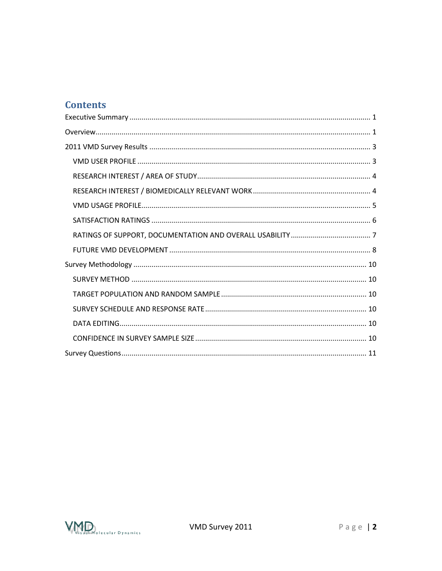# **Contents**

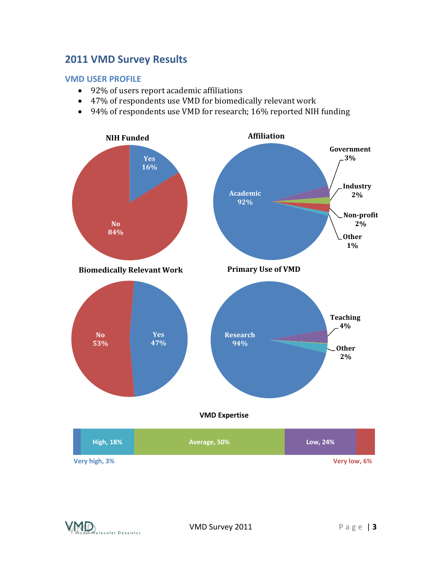### <span id="page-3-0"></span>**2011 VMD Survey Results**

#### <span id="page-3-1"></span>**VMD USER PROFILE**

- 92% of users report academic affiliations
- 47% of respondents use VMD for biomedically relevant work
- 94% of respondents use VMD for research; 16% reported NIH funding



|<br>olecular Dynamics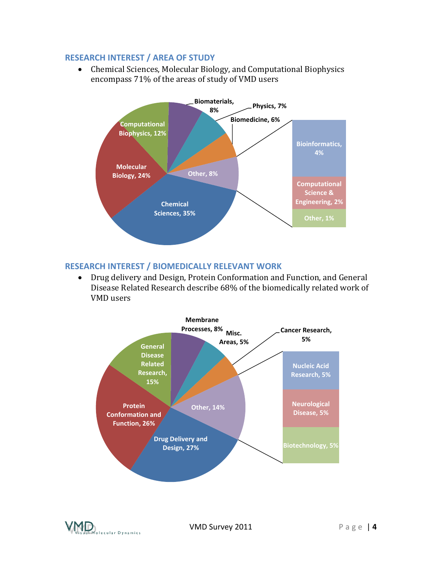#### <span id="page-4-0"></span>**RESEARCH INTEREST / AREA OF STUDY**

 Chemical Sciences, Molecular Biology, and Computational Biophysics encompass 71% of the areas of study of VMD users



#### <span id="page-4-1"></span>**RESEARCH INTEREST / BIOMEDICALLY RELEVANT WORK**

 Drug delivery and Design, Protein Conformation and Function, and General Disease Related Research describe 68% of the biomedically related work of VMD users



lecular Dynamics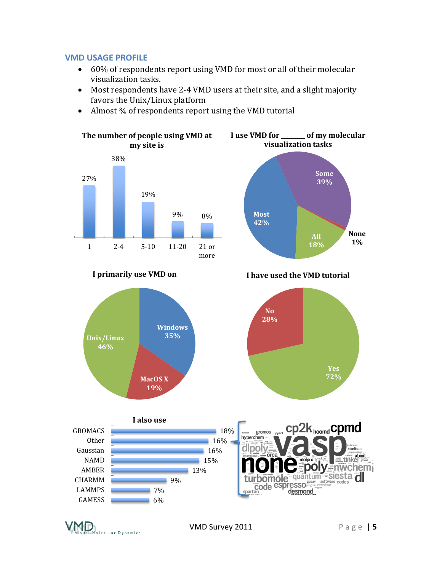#### <span id="page-5-0"></span>**VMD USAGE PROFILE**

- 60% of respondents report using VMD for most or all of their molecular visualization tasks.
- Most respondents have 2-4 VMD users at their site, and a slight majority favors the Unix/Linux platform
- Almost 34 of respondents report using the VMD tutorial



GAMESS LAMMPS 6% 7%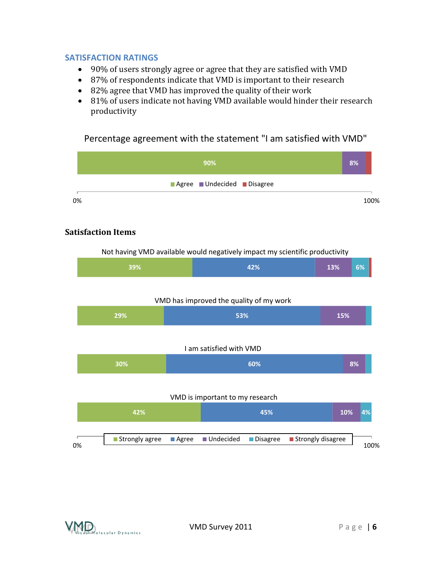#### <span id="page-6-0"></span>**SATISFACTION RATINGS**

- 90% of users strongly agree or agree that they are satisfied with VMD
- 87% of respondents indicate that VMD is important to their research
- 82% agree that VMD has improved the quality of their work
- 81% of users indicate not having VMD available would hinder their research productivity

Percentage agreement with the statement "I am satisfied with VMD"

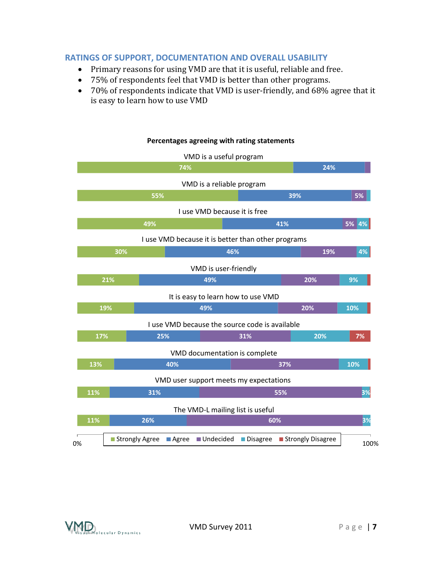#### <span id="page-7-0"></span>**RATINGS OF SUPPORT, DOCUMENTATION AND OVERALL USABILITY**

- Primary reasons for using VMD are that it is useful, reliable and free.
- 75% of respondents feel that VMD is better than other programs.
- 70% of respondents indicate that VMD is user-friendly, and 68% agree that it is easy to learn how to use VMD



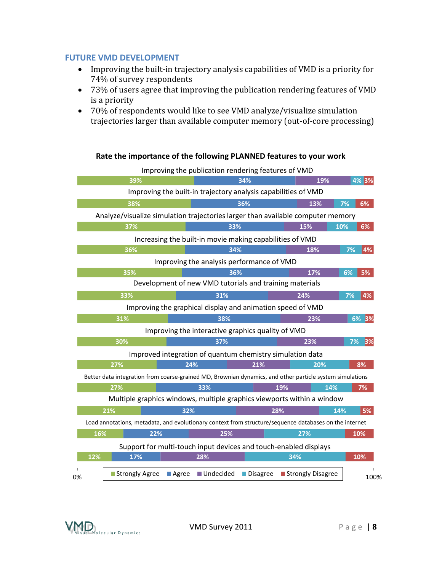#### <span id="page-8-0"></span>**FUTURE VMD DEVELOPMENT**

- Improving the built-in trajectory analysis capabilities of VMD is a priority for 74% of survey respondents
- 73% of users agree that improving the publication rendering features of VMD is a priority
- 70% of respondents would like to see VMD analyze/visualize simulation trajectories larger than available computer memory (out-of-core processing)



**Rate the importance of the following PLANNED features to your work**

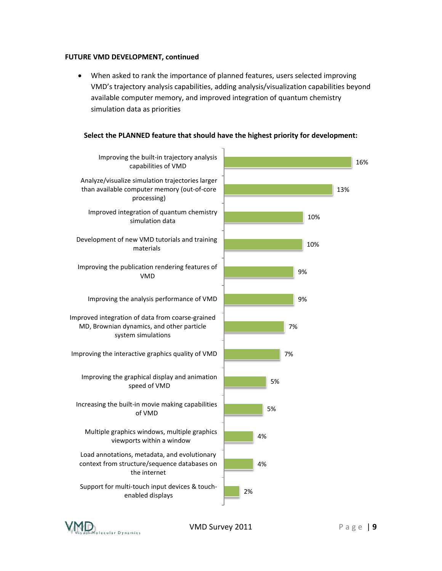#### **FUTURE VMD DEVELOPMENT, continued**

 When asked to rank the importance of planned features, users selected improving VMD's trajectory analysis capabilities, adding analysis/visualization capabilities beyond available computer memory, and improved integration of quantum chemistry simulation data as priorities



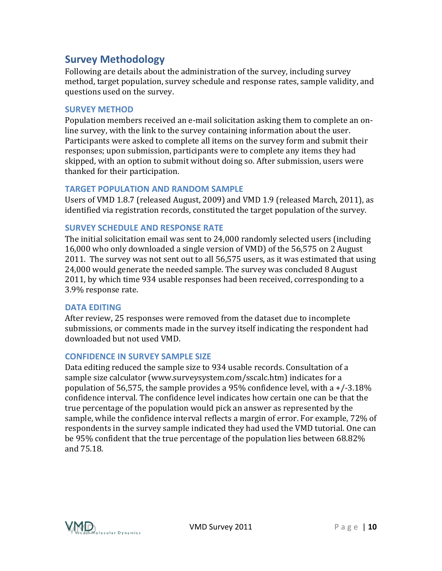# <span id="page-10-0"></span>**Survey Methodology**

Following are details about the administration of the survey, including survey method, target population, survey schedule and response rates, sample validity, and questions used on the survey.

#### <span id="page-10-1"></span>**SURVEY METHOD**

Population members received an e-mail solicitation asking them to complete an online survey, with the link to the survey containing information about the user. Participants were asked to complete all items on the survey form and submit their responses; upon submission, participants were to complete any items they had skipped, with an option to submit without doing so. After submission, users were thanked for their participation.

#### <span id="page-10-2"></span>**TARGET POPULATION AND RANDOM SAMPLE**

Users of VMD 1.8.7 (released August, 2009) and VMD 1.9 (released March, 2011), as identified via registration records, constituted the target population of the survey.

#### <span id="page-10-3"></span>**SURVEY SCHEDULE AND RESPONSE RATE**

The initial solicitation email was sent to 24,000 randomly selected users (including 16,000 who only downloaded a single version of VMD) of the 56,575 on 2 August 2011. The survey was not sent out to all 56,575 users, as it was estimated that using 24,000 would generate the needed sample. The survey was concluded 8 August 2011, by which time 934 usable responses had been received, corresponding to a 3.9% response rate.

#### <span id="page-10-4"></span>**DATA EDITING**

After review, 25 responses were removed from the dataset due to incomplete submissions, or comments made in the survey itself indicating the respondent had downloaded but not used VMD.

#### <span id="page-10-5"></span>**CONFIDENCE IN SURVEY SAMPLE SIZE**

Data editing reduced the sample size to 934 usable records. Consultation of a sample size calculator (www.surveysystem.com/sscalc.htm) indicates for a population of 56,575, the sample provides a 95% confidence level, with a  $+/-3.18%$ confidence interval. The confidence level indicates how certain one can be that the true percentage of the population would pick an answer as represented by the sample, while the confidence interval reflects a margin of error. For example, 72% of respondents in the survey sample indicated they had used the VMD tutorial. One can be 95% confident that the true percentage of the population lies between 68.82% and 75.18.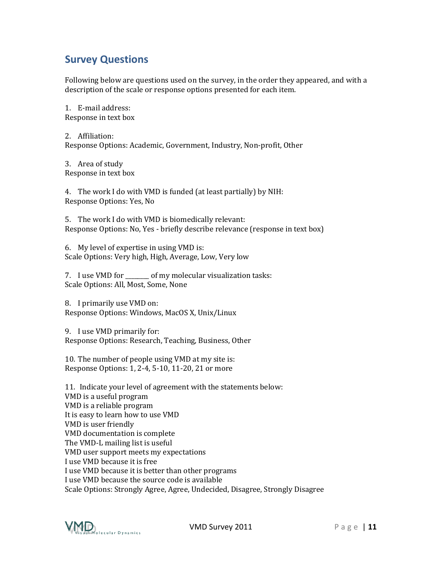# <span id="page-11-0"></span>**Survey Questions**

Following below are questions used on the survey, in the order they appeared, and with a description of the scale or response options presented for each item.

1. E-mail address: Response in text box

2. Affiliation: Response Options: Academic, Government, Industry, Non-profit, Other

3. Area of study Response in text box

4. The work I do with VMD is funded (at least partially) by NIH: Response Options: Yes, No

5. The work I do with VMD is biomedically relevant: Response Options: No, Yes - briefly describe relevance (response in text box)

6. My level of expertise in using VMD is: Scale Options: Very high, High, Average, Low, Very low

7. I use VMD for of my molecular visualization tasks: Scale Options: All, Most, Some, None

8. I primarily use VMD on: Response Options: Windows, MacOS X, Unix/Linux

9. I use VMD primarily for: Response Options: Research, Teaching, Business, Other

10. The number of people using VMD at my site is: Response Options: 1, 2-4, 5-10, 11-20, 21 or more

11. Indicate your level of agreement with the statements below: VMD is a useful program VMD is a reliable program It is easy to learn how to use VMD VMD is user friendly VMD documentation is complete The VMD-L mailing list is useful VMD user support meets my expectations I use VMD because it is free I use VMD because it is better than other programs I use VMD because the source code is available Scale Options: Strongly Agree, Agree, Undecided, Disagree, Strongly Disagree



VMD Survey 2011 P a g e | **11**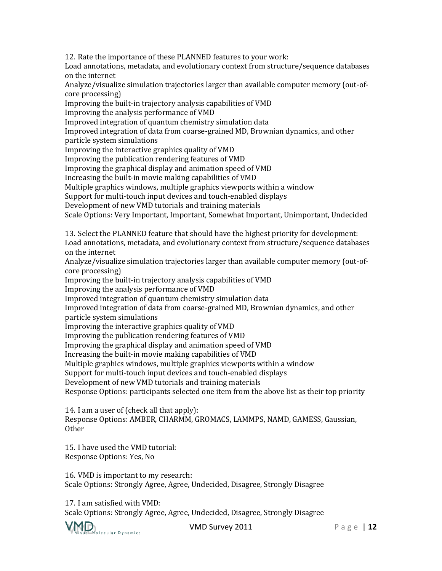12. Rate the importance of these PLANNED features to your work:

Load annotations, metadata, and evolutionary context from structure/sequence databases on the internet

Analyze/visualize simulation trajectories larger than available computer memory (out-ofcore processing)

Improving the built-in trajectory analysis capabilities of VMD

Improving the analysis performance of VMD

Improved integration of quantum chemistry simulation data

Improved integration of data from coarse-grained MD, Brownian dynamics, and other particle system simulations

Improving the interactive graphics quality of VMD

Improving the publication rendering features of VMD

Improving the graphical display and animation speed of VMD

Increasing the built-in movie making capabilities of VMD

Multiple graphics windows, multiple graphics viewports within a window

Support for multi-touch input devices and touch-enabled displays

Development of new VMD tutorials and training materials

Scale Options: Very Important, Important, Somewhat Important, Unimportant, Undecided

13. Select the PLANNED feature that should have the highest priority for development: Load annotations, metadata, and evolutionary context from structure/sequence databases on the internet

Analyze/visualize simulation trajectories larger than available computer memory (out-ofcore processing)

Improving the built-in trajectory analysis capabilities of VMD

Improving the analysis performance of VMD

Improved integration of quantum chemistry simulation data

Improved integration of data from coarse-grained MD, Brownian dynamics, and other particle system simulations

Improving the interactive graphics quality of VMD

Improving the publication rendering features of VMD

Improving the graphical display and animation speed of VMD

Increasing the built-in movie making capabilities of VMD

Multiple graphics windows, multiple graphics viewports within a window

Support for multi-touch input devices and touch-enabled displays

Development of new VMD tutorials and training materials

Response Options: participants selected one item from the above list as their top priority

14. I am a user of (check all that apply):

Response Options: AMBER, CHARMM, GROMACS, LAMMPS, NAMD, GAMESS, Gaussian, Other

15. I have used the VMD tutorial: Response Options: Yes, No

16. VMD is important to my research: Scale Options: Strongly Agree, Agree, Undecided, Disagree, Strongly Disagree

17. I am satisfied with VMD: Scale Options: Strongly Agree, Agree, Undecided, Disagree, Strongly Disagree

Wisual Molecular Dynamics

VMD Survey 2011 P a g e | **12**